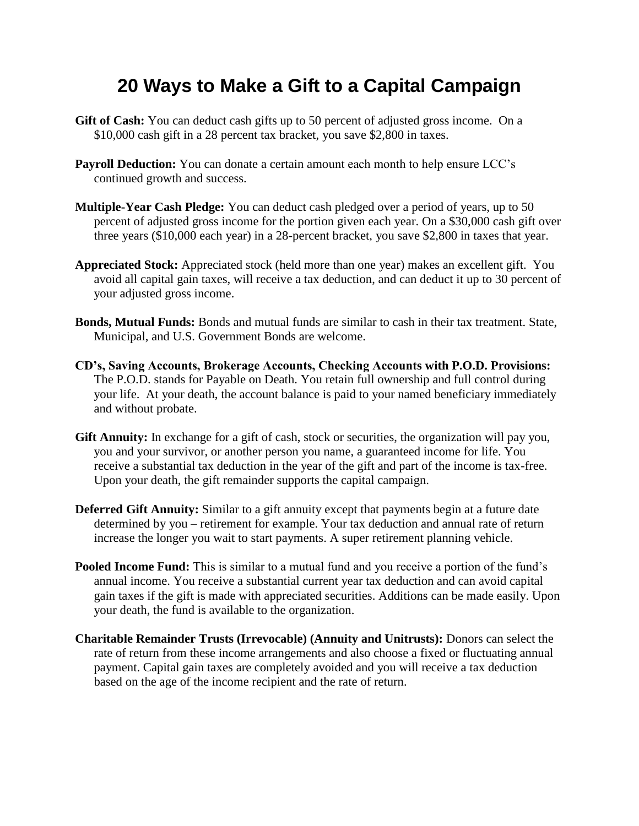## **20 Ways to Make a Gift to a Capital Campaign**

- **Gift of Cash:** You can deduct cash gifts up to 50 percent of adjusted gross income. On a \$10,000 cash gift in a 28 percent tax bracket, you save \$2,800 in taxes.
- **Payroll Deduction:** You can donate a certain amount each month to help ensure LCC's continued growth and success.
- **Multiple-Year Cash Pledge:** You can deduct cash pledged over a period of years, up to 50 percent of adjusted gross income for the portion given each year. On a \$30,000 cash gift over three years (\$10,000 each year) in a 28-percent bracket, you save \$2,800 in taxes that year.
- **Appreciated Stock:** Appreciated stock (held more than one year) makes an excellent gift. You avoid all capital gain taxes, will receive a tax deduction, and can deduct it up to 30 percent of your adjusted gross income.
- **Bonds, Mutual Funds:** Bonds and mutual funds are similar to cash in their tax treatment. State, Municipal, and U.S. Government Bonds are welcome.
- **CD's, Saving Accounts, Brokerage Accounts, Checking Accounts with P.O.D. Provisions:** The P.O.D. stands for Payable on Death. You retain full ownership and full control during your life. At your death, the account balance is paid to your named beneficiary immediately and without probate.
- **Gift Annuity:** In exchange for a gift of cash, stock or securities, the organization will pay you, you and your survivor, or another person you name, a guaranteed income for life. You receive a substantial tax deduction in the year of the gift and part of the income is tax-free. Upon your death, the gift remainder supports the capital campaign.
- **Deferred Gift Annuity:** Similar to a gift annuity except that payments begin at a future date determined by you – retirement for example. Your tax deduction and annual rate of return increase the longer you wait to start payments. A super retirement planning vehicle.
- **Pooled Income Fund:** This is similar to a mutual fund and you receive a portion of the fund's annual income. You receive a substantial current year tax deduction and can avoid capital gain taxes if the gift is made with appreciated securities. Additions can be made easily. Upon your death, the fund is available to the organization.
- **Charitable Remainder Trusts (Irrevocable) (Annuity and Unitrusts):** Donors can select the rate of return from these income arrangements and also choose a fixed or fluctuating annual payment. Capital gain taxes are completely avoided and you will receive a tax deduction based on the age of the income recipient and the rate of return.